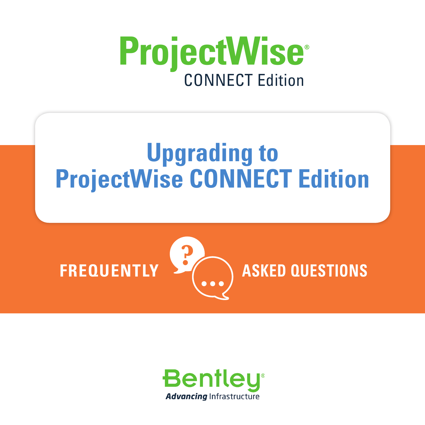

# **Upgrading to ProjectWise CONNECT Edition**



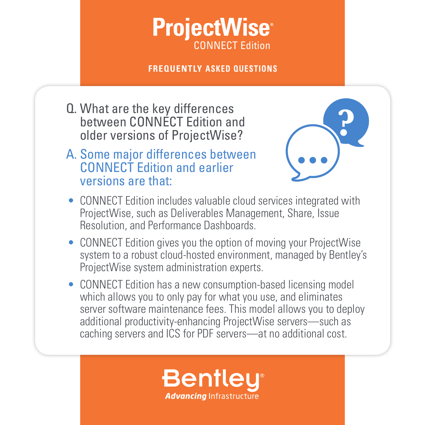## **ProjectWise** CONNECT Edition

#### **FREQUENTLY ASKED QUESTIONS**

Q. What are the key differences between CONNECT Edition and older versions of ProjectWise?

### A. Some major differences between CONNECT Edition and earlier versions are that:



- CONNECT Edition includes valuable cloud services integrated with ProjectWise, such as Deliverables Management, Share, Issue Resolution, and Performance Dashboards.
- CONNECT Edition gives you the option of moving your ProjectWise system to a robust cloud-hosted environment, managed by Bentley's ProjectWise system administration experts.
- CONNECT Edition has a new consumption-based licensing model which allows you to only pay for what you use, and eliminates server software maintenance fees. This model allows you to deploy additional productivity-enhancing ProjectWise servers—such as caching servers and ICS for PDF servers—at no additional cost.

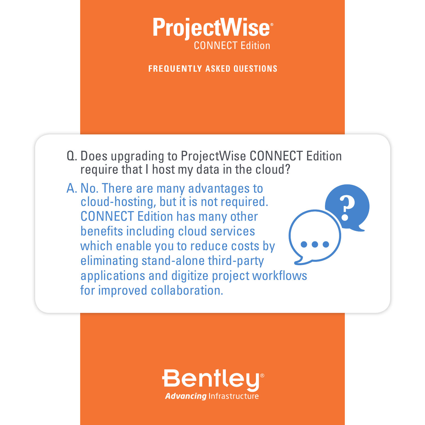

**FREQUENTLY ASKED QUESTIONS**

- Q. Does upgrading to ProjectWise CONNECT Edition require that I host my data in the cloud?
- A. No. There are many advantages to cloud-hosting, but it is not required. CONNECT Edition has many other benefits including cloud services which enable you to reduce costs by eliminating stand-alone third-party applications and digitize project workflows for improved collaboration.

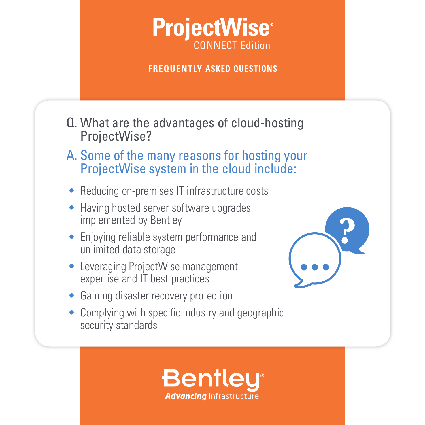## **ProjectWise** CONNECT Edition

**FREQUENTLY ASKED QUESTIONS**

- Q. What are the advantages of cloud-hosting ProjectWise?
- A. Some of the many reasons for hosting your ProjectWise system in the cloud include:
- Reducing on-premises IT infrastructure costs
- Having hosted server software upgrades implemented by Bentley
- Enjoying reliable system performance and unlimited data storage
- Leveraging ProjectWise management expertise and IT best practices
- Gaining disaster recovery protection
- Complying with specific industry and geographic security standards



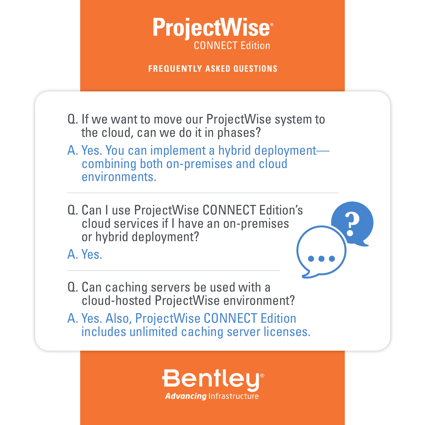### **ProjectWise** CONNECT Edition

**FREQUENTLY ASKED QUESTIONS**

- Q. If we want to move our ProjectWise system to the cloud, can we do it in phases?
- A. Yes. You can implement a hybrid deployment combining both on-premises and cloud environments.
- Q. Can I use ProjectWise CONNECT Edition's cloud services if I have an on-premises or hybrid deployment?

A. Yes.



- Q. Can caching servers be used with a cloud-hosted ProjectWise environment?
- A. Yes. Also, ProjectWise CONNECT Edition includes unlimited caching server licenses.

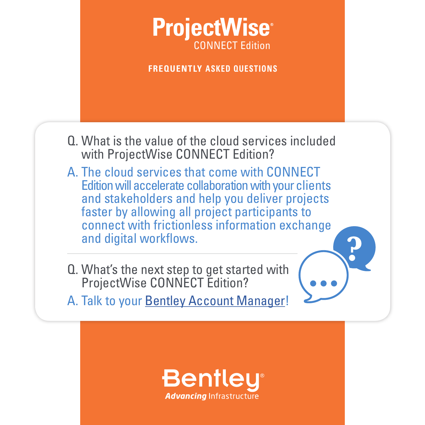

**FREQUENTLY ASKED QUESTIONS**

- Q. What is the value of the cloud services included with ProjectWise CONNECT Edition?
- A. The cloud services that come with CONNECT Edition will accelerate collaboration with your clients and stakeholders and help you deliver projects faster by allowing all project participants to connect with frictionless information exchange and digital workflows.
- Q. What's the next step to get started with ProjectWise CONNECT Edition?
- A. Talk to your **[Bentley Account Manager](https://www.bentley.com/en/Perspectives-and-Viewpoints/Topics/Campaign/Consultation-PW-V8i-to-CE)!**